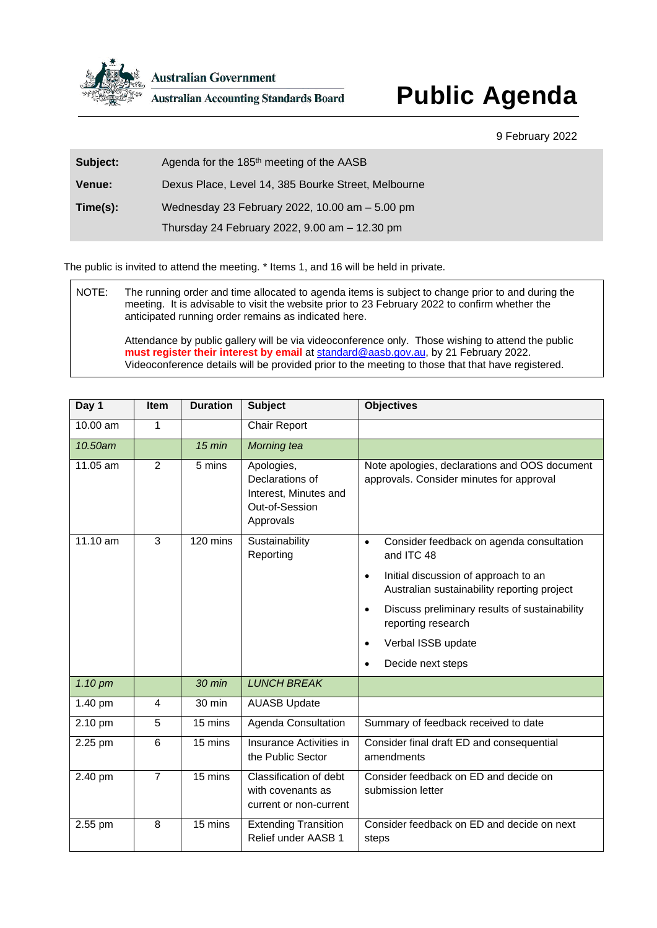

**Australian Government** 

**Australian Accounting Standards Board** 

## **Public Agenda**

## 9 February 2022

| Subject:      | Agenda for the 185 <sup>th</sup> meeting of the AASB |
|---------------|------------------------------------------------------|
| <b>Venue:</b> | Dexus Place, Level 14, 385 Bourke Street, Melbourne  |
| Time(s):      | Wednesday 23 February 2022, 10.00 am - 5.00 pm       |
|               | Thursday 24 February 2022, 9.00 am - 12.30 pm        |

The public is invited to attend the meeting. \* Items 1, and 16 will be held in private.

NOTE: The running order and time allocated to agenda items is subject to change prior to and during the meeting. It is advisable to visit the website prior to 23 February 2022 to confirm whether the anticipated running order remains as indicated here.

Attendance by public gallery will be via videoconference only. Those wishing to attend the public **must register their interest by email** at [standard@aasb.gov.au,](mailto:standard@aasb.gov.au) by 21 February 2022. Videoconference details will be provided prior to the meeting to those that that have registered.

| Day 1    | Item           | <b>Duration</b> | <b>Subject</b>                                                                        | <b>Objectives</b>                                                                                |
|----------|----------------|-----------------|---------------------------------------------------------------------------------------|--------------------------------------------------------------------------------------------------|
| 10.00 am | 1              |                 | <b>Chair Report</b>                                                                   |                                                                                                  |
| 10.50am  |                | $15$ min        | Morning tea                                                                           |                                                                                                  |
| 11.05 am | $\overline{2}$ | 5 mins          | Apologies,<br>Declarations of<br>Interest, Minutes and<br>Out-of-Session<br>Approvals | Note apologies, declarations and OOS document<br>approvals. Consider minutes for approval        |
| 11.10 am | 3              | 120 mins        | Sustainability<br>Reporting                                                           | Consider feedback on agenda consultation<br>$\bullet$<br>and ITC 48                              |
|          |                |                 |                                                                                       | Initial discussion of approach to an<br>$\bullet$<br>Australian sustainability reporting project |
|          |                |                 |                                                                                       | Discuss preliminary results of sustainability<br>$\bullet$<br>reporting research                 |
|          |                |                 |                                                                                       | Verbal ISSB update<br>$\bullet$                                                                  |
|          |                |                 |                                                                                       | Decide next steps<br>$\bullet$                                                                   |
| 1.10 pm  |                | $30$ min        | <b>LUNCH BREAK</b>                                                                    |                                                                                                  |
| 1.40 pm  | 4              | 30 min          | <b>AUASB Update</b>                                                                   |                                                                                                  |
| 2.10 pm  | 5              | 15 mins         | Agenda Consultation                                                                   | Summary of feedback received to date                                                             |
| 2.25 pm  | 6              | 15 mins         | Insurance Activities in<br>the Public Sector                                          | Consider final draft ED and consequential<br>amendments                                          |
| 2.40 pm  | $\overline{7}$ | 15 mins         | Classification of debt<br>with covenants as<br>current or non-current                 | Consider feedback on ED and decide on<br>submission letter                                       |
| 2.55 pm  | 8              | 15 mins         | <b>Extending Transition</b><br>Relief under AASB 1                                    | Consider feedback on ED and decide on next<br>steps                                              |